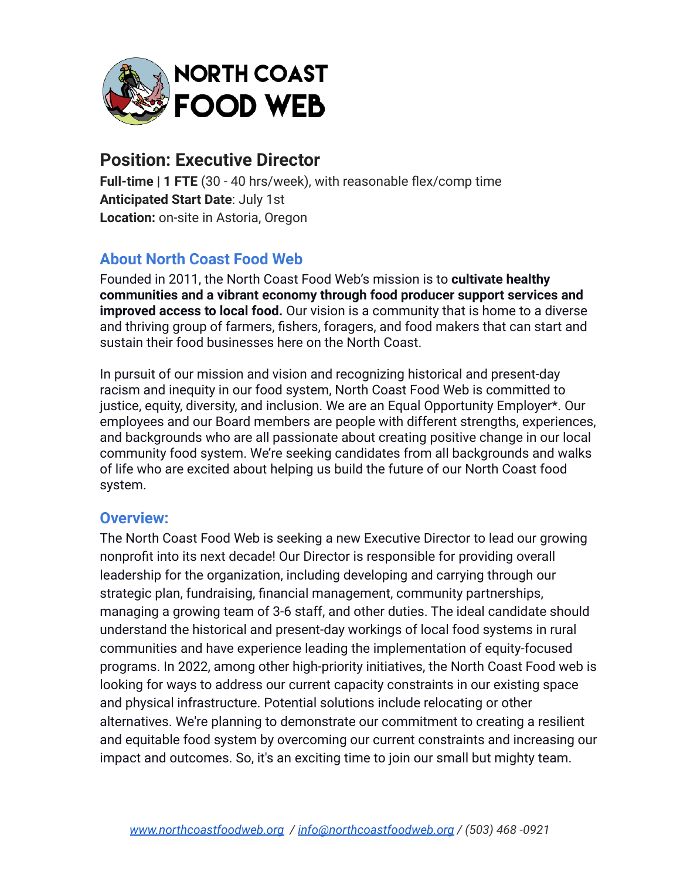

# **Position: Executive Director**

**Full-time | 1 FTE** (30 - 40 hrs/week), with reasonable flex/comp time **Anticipated Start Date**: July 1st **Location:** on-site in Astoria, Oregon

# **About North Coast Food Web**

Founded in 2011, the North Coast Food Web's mission is to **cultivate healthy communities and a vibrant economy through food producer support services and improved access to local food.** Our vision is a community that is home to a diverse and thriving group of farmers, fishers, foragers, and food makers that can start and sustain their food businesses here on the North Coast.

In pursuit of our mission and vision and recognizing historical and present-day racism and inequity in our food system, North Coast Food Web is committed to justice, equity, diversity, and inclusion. We are an Equal Opportunity Employer\*. Our employees and our Board members are people with different strengths, experiences, and backgrounds who are all passionate about creating positive change in our local community food system. We're seeking candidates from all backgrounds and walks of life who are excited about helping us build the future of our North Coast food system.

#### **Overview:**

The North Coast Food Web is seeking a new Executive Director to lead our growing nonprofit into its next decade! Our Director is responsible for providing overall leadership for the organization, including developing and carrying through our strategic plan, fundraising, financial management, community partnerships, managing a growing team of 3-6 staff, and other duties. The ideal candidate should understand the historical and present-day workings of local food systems in rural communities and have experience leading the implementation of equity-focused programs. In 2022, among other high-priority initiatives, the North Coast Food web is looking for ways to address our current capacity constraints in our existing space and physical infrastructure. Potential solutions include relocating or other alternatives. We're planning to demonstrate our commitment to creating a resilient and equitable food system by overcoming our current constraints and increasing our impact and outcomes. So, it's an exciting time to join our small but mighty team.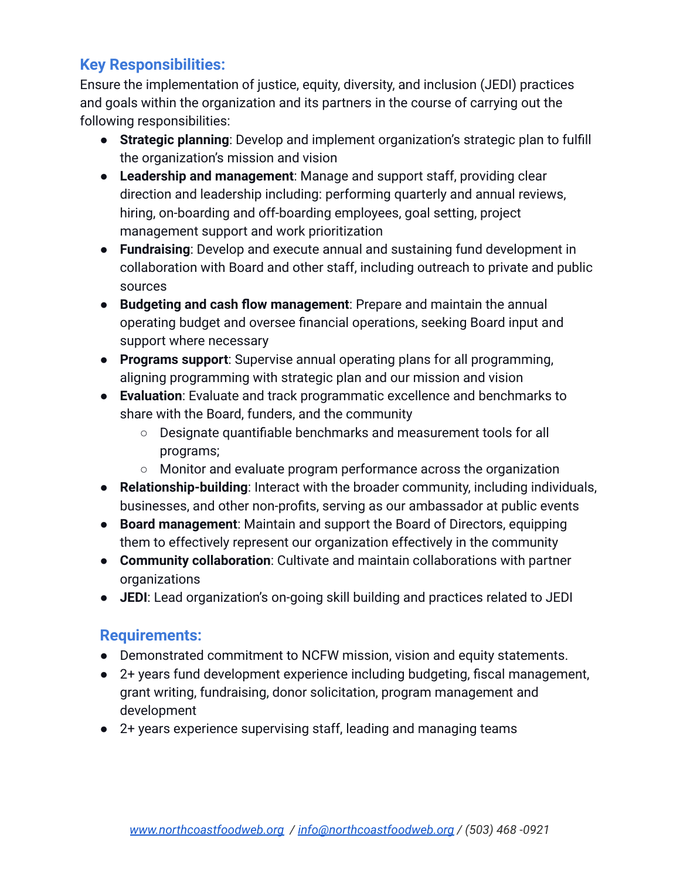# **Key Responsibilities:**

Ensure the implementation of justice, equity, diversity, and inclusion (JEDI) practices and goals within the organization and its partners in the course of carrying out the following responsibilities:

- **Strategic planning**: Develop and implement organization's strategic plan to fulfill the organization's mission and vision
- **Leadership and management**: Manage and support staff, providing clear direction and leadership including: performing quarterly and annual reviews, hiring, on-boarding and off-boarding employees, goal setting, project management support and work prioritization
- **Fundraising**: Develop and execute annual and sustaining fund development in collaboration with Board and other staff, including outreach to private and public sources
- **Budgeting and cash flow management**: Prepare and maintain the annual operating budget and oversee financial operations, seeking Board input and support where necessary
- **Programs support**: Supervise annual operating plans for all programming, aligning programming with strategic plan and our mission and vision
- **Evaluation**: Evaluate and track programmatic excellence and benchmarks to share with the Board, funders, and the community
	- Designate quantifiable benchmarks and measurement tools for all programs;
	- Monitor and evaluate program performance across the organization
- **Relationship-building**: Interact with the broader community, including individuals, businesses, and other non-profits, serving as our ambassador at public events
- **Board management**: Maintain and support the Board of Directors, equipping them to effectively represent our organization effectively in the community
- **Community collaboration**: Cultivate and maintain collaborations with partner organizations
- **JEDI**: Lead organization's on-going skill building and practices related to JEDI

### **Requirements:**

- Demonstrated commitment to NCFW mission, vision and equity statements.
- 2+ years fund development experience including budgeting, fiscal management, grant writing, fundraising, donor solicitation, program management and development
- 2+ years experience supervising staff, leading and managing teams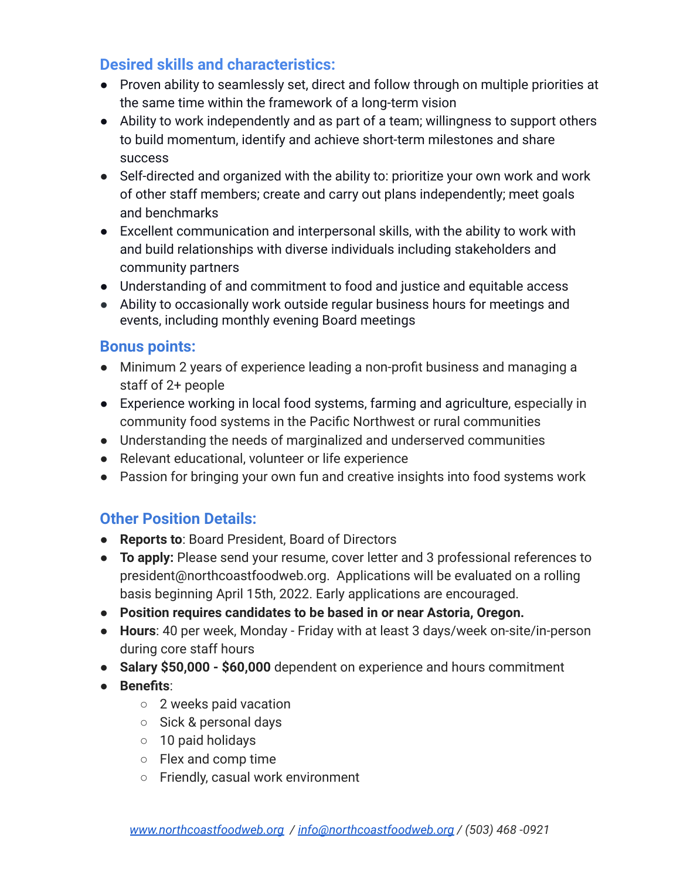# **Desired skills and characteristics:**

- Proven ability to seamlessly set, direct and follow through on multiple priorities at the same time within the framework of a long-term vision
- Ability to work independently and as part of a team; willingness to support others to build momentum, identify and achieve short-term milestones and share success
- Self-directed and organized with the ability to: prioritize your own work and work of other staff members; create and carry out plans independently; meet goals and benchmarks
- Excellent communication and interpersonal skills, with the ability to work with and build relationships with diverse individuals including stakeholders and community partners
- Understanding of and commitment to food and justice and equitable access
- Ability to occasionally work outside regular business hours for meetings and events, including monthly evening Board meetings

#### **Bonus points:**

- Minimum 2 years of experience leading a non-profit business and managing a staff of 2+ people
- Experience working in local food systems, farming and agriculture, especially in community food systems in the Pacific Northwest or rural communities
- Understanding the needs of marginalized and underserved communities
- Relevant educational, volunteer or life experience
- Passion for bringing your own fun and creative insights into food systems work

### **Other Position Details:**

- **Reports to**: Board President, Board of Directors
- **To apply:** Please send your resume, cover letter and 3 professional references to president@northcoastfoodweb.org. Applications will be evaluated on a rolling basis beginning April 15th, 2022. Early applications are encouraged.
- **● Position requires candidates to be based in or near Astoria, Oregon.**
- **Hours**: 40 per week, Monday Friday with at least 3 days/week on-site/in-person during core staff hours
- **Salary \$50,000 \$60,000** dependent on experience and hours commitment
- **Benefits**:
	- 2 weeks paid vacation
	- Sick & personal days
	- 10 paid holidays
	- Flex and comp time
	- Friendly, casual work environment